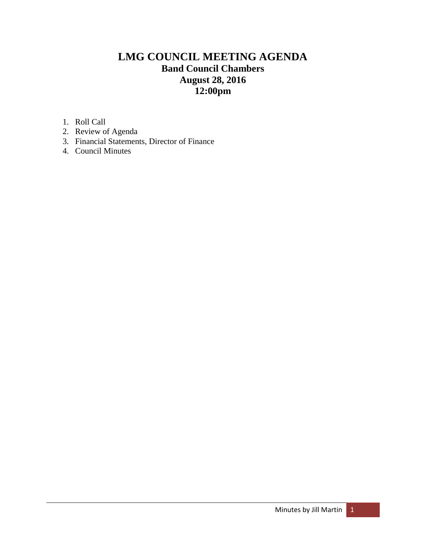# **LMG COUNCIL MEETING AGENDA Band Council Chambers August 28, 2016 12:00pm**

1. Roll Call

- 2. Review of Agenda
- 3. Financial Statements, Director of Finance
- 4. Council Minutes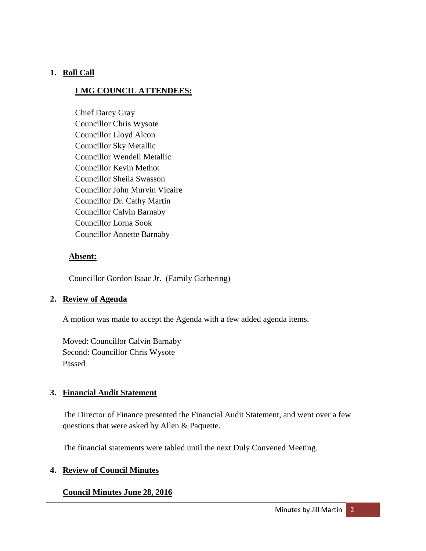### **1. Roll Call**

### **LMG COUNCIL ATTENDEES:**

Chief Darcy Gray Councillor Chris Wysote Councillor Lloyd Alcon Councillor Sky Metallic Councillor Wendell Metallic Councillor Kevin Methot Councillor Sheila Swasson Councillor John Murvin Vicaire Councillor Dr. Cathy Martin Councillor Calvin Barnaby Councillor Lorna Sook Councillor Annette Barnaby

### **Absent:**

Councillor Gordon Isaac Jr. (Family Gathering)

### **2. Review of Agenda**

A motion was made to accept the Agenda with a few added agenda items.

Moved: Councillor Calvin Barnaby Second: Councillor Chris Wysote Passed

### **3. Financial Audit Statement**

The Director of Finance presented the Financial Audit Statement, and went over a few questions that were asked by Allen & Paquette.

The financial statements were tabled until the next Duly Convened Meeting.

### **4. Review of Council Minutes**

### **Council Minutes June 28, 2016**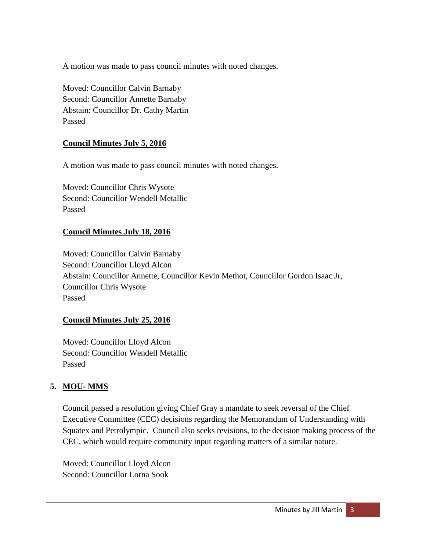A motion was made to pass council minutes with noted changes.

Moved: Councillor Calvin Barnaby Second: Councillor Annette Barnaby Abstain: Councillor Dr. Cathy Martin Passed

### **Council Minutes July 5, 2016**

A motion was made to pass council minutes with noted changes.

Moved: Councillor Chris Wysote Second: Councillor Wendell Metallic Passed

### **Council Minutes July 18, 2016**

Moved: Councillor Calvin Barnaby Second: Councillor Lloyd Alcon Abstain: Councillor Annette, Councillor Kevin Methot, Councillor Gordon Isaac Jr, Councillor Chris Wysote Passed

### **Council Minutes July 25, 2016**

Moved: Councillor Lloyd Alcon Second: Councillor Wendell Metallic Passed

### **5. MOU- MMS**

Council passed a resolution giving Chief Gray a mandate to seek reversal of the Chief Executive Committee (CEC) decisions regarding the Memorandum of Understanding with Squatex and Petrolympic. Council also seeks revisions, to the decision making process of the CEC, which would require community input regarding matters of a similar nature.

Moved: Councillor Lloyd Alcon Second: Councillor Lorna Sook